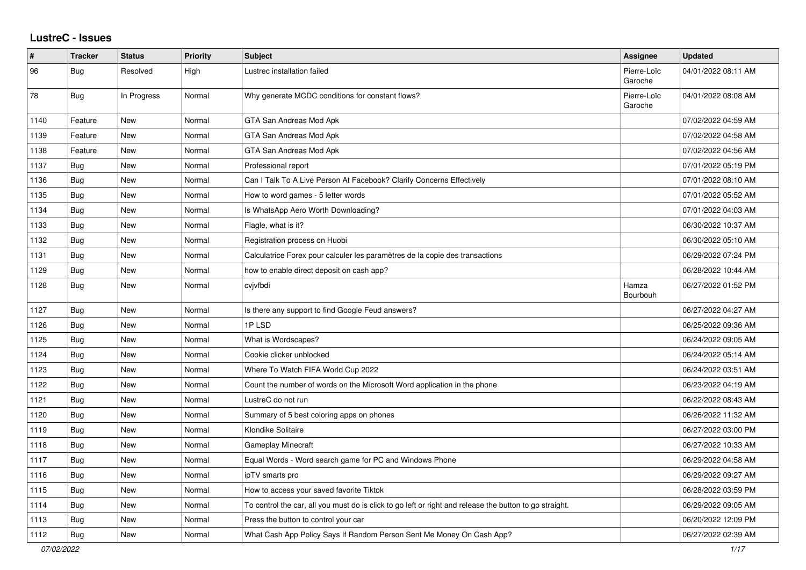## **LustreC - Issues**

| #    | <b>Tracker</b> | <b>Status</b> | <b>Priority</b> | <b>Subject</b>                                                                                          | <b>Assignee</b>        | <b>Updated</b>      |
|------|----------------|---------------|-----------------|---------------------------------------------------------------------------------------------------------|------------------------|---------------------|
| 96   | Bug            | Resolved      | High            | Lustrec installation failed                                                                             | Pierre-Loïc<br>Garoche | 04/01/2022 08:11 AM |
| 78   | <b>Bug</b>     | In Progress   | Normal          | Why generate MCDC conditions for constant flows?                                                        | Pierre-Loïc<br>Garoche | 04/01/2022 08:08 AM |
| 1140 | Feature        | <b>New</b>    | Normal          | GTA San Andreas Mod Apk                                                                                 |                        | 07/02/2022 04:59 AM |
| 1139 | Feature        | <b>New</b>    | Normal          | GTA San Andreas Mod Apk                                                                                 |                        | 07/02/2022 04:58 AM |
| 1138 | Feature        | New           | Normal          | GTA San Andreas Mod Apk                                                                                 |                        | 07/02/2022 04:56 AM |
| 1137 | <b>Bug</b>     | <b>New</b>    | Normal          | Professional report                                                                                     |                        | 07/01/2022 05:19 PM |
| 1136 | <b>Bug</b>     | <b>New</b>    | Normal          | Can I Talk To A Live Person At Facebook? Clarify Concerns Effectively                                   |                        | 07/01/2022 08:10 AM |
| 1135 | Bug            | <b>New</b>    | Normal          | How to word games - 5 letter words                                                                      |                        | 07/01/2022 05:52 AM |
| 1134 | Bug            | <b>New</b>    | Normal          | Is WhatsApp Aero Worth Downloading?                                                                     |                        | 07/01/2022 04:03 AM |
| 1133 | Bug            | <b>New</b>    | Normal          | Flagle, what is it?                                                                                     |                        | 06/30/2022 10:37 AM |
| 1132 | Bug            | <b>New</b>    | Normal          | Registration process on Huobi                                                                           |                        | 06/30/2022 05:10 AM |
| 1131 | <b>Bug</b>     | <b>New</b>    | Normal          | Calculatrice Forex pour calculer les paramètres de la copie des transactions                            |                        | 06/29/2022 07:24 PM |
| 1129 | Bug            | New           | Normal          | how to enable direct deposit on cash app?                                                               |                        | 06/28/2022 10:44 AM |
| 1128 | <b>Bug</b>     | <b>New</b>    | Normal          | cvjvfbdi                                                                                                | Hamza<br>Bourbouh      | 06/27/2022 01:52 PM |
| 1127 | Bug            | <b>New</b>    | Normal          | Is there any support to find Google Feud answers?                                                       |                        | 06/27/2022 04:27 AM |
| 1126 | Bug            | <b>New</b>    | Normal          | 1PLSD                                                                                                   |                        | 06/25/2022 09:36 AM |
| 1125 | Bug            | <b>New</b>    | Normal          | What is Wordscapes?                                                                                     |                        | 06/24/2022 09:05 AM |
| 1124 | Bug            | <b>New</b>    | Normal          | Cookie clicker unblocked                                                                                |                        | 06/24/2022 05:14 AM |
| 1123 | Bug            | <b>New</b>    | Normal          | Where To Watch FIFA World Cup 2022                                                                      |                        | 06/24/2022 03:51 AM |
| 1122 | Bug            | <b>New</b>    | Normal          | Count the number of words on the Microsoft Word application in the phone                                |                        | 06/23/2022 04:19 AM |
| 1121 | <b>Bug</b>     | <b>New</b>    | Normal          | LustreC do not run                                                                                      |                        | 06/22/2022 08:43 AM |
| 1120 | Bug            | <b>New</b>    | Normal          | Summary of 5 best coloring apps on phones                                                               |                        | 06/26/2022 11:32 AM |
| 1119 | Bug            | <b>New</b>    | Normal          | Klondike Solitaire                                                                                      |                        | 06/27/2022 03:00 PM |
| 1118 | Bug            | <b>New</b>    | Normal          | Gameplay Minecraft                                                                                      |                        | 06/27/2022 10:33 AM |
| 1117 | Bug            | <b>New</b>    | Normal          | Equal Words - Word search game for PC and Windows Phone                                                 |                        | 06/29/2022 04:58 AM |
| 1116 | Bug            | <b>New</b>    | Normal          | ipTV smarts pro                                                                                         |                        | 06/29/2022 09:27 AM |
| 1115 | <b>Bug</b>     | <b>New</b>    | Normal          | How to access your saved favorite Tiktok                                                                |                        | 06/28/2022 03:59 PM |
| 1114 | Bug            | <b>New</b>    | Normal          | To control the car, all you must do is click to go left or right and release the button to go straight. |                        | 06/29/2022 09:05 AM |
| 1113 | <b>Bug</b>     | <b>New</b>    | Normal          | Press the button to control your car                                                                    |                        | 06/20/2022 12:09 PM |
| 1112 | Bug            | New           | Normal          | What Cash App Policy Says If Random Person Sent Me Money On Cash App?                                   |                        | 06/27/2022 02:39 AM |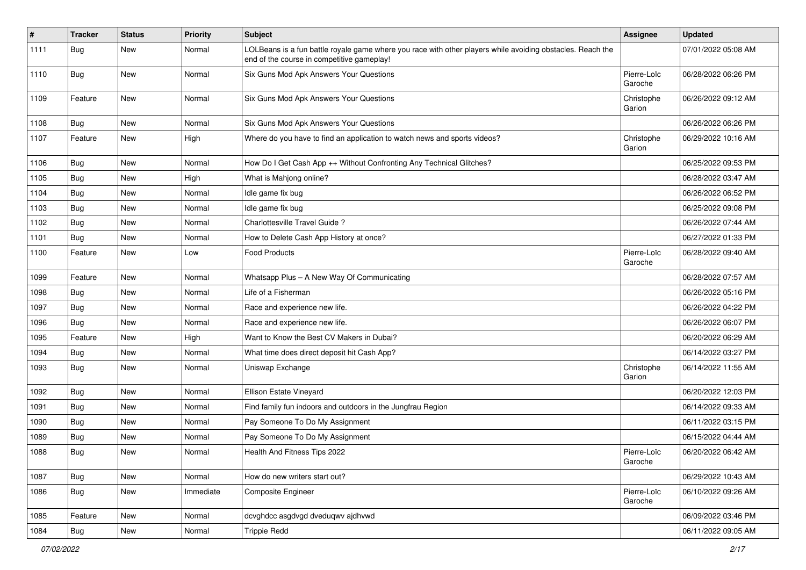| #    | <b>Tracker</b> | <b>Status</b> | <b>Priority</b> | Subject                                                                                                                                                  | <b>Assignee</b>        | <b>Updated</b>      |
|------|----------------|---------------|-----------------|----------------------------------------------------------------------------------------------------------------------------------------------------------|------------------------|---------------------|
| 1111 | Bug            | New           | Normal          | LOLBeans is a fun battle royale game where you race with other players while avoiding obstacles. Reach the<br>end of the course in competitive gameplay! |                        | 07/01/2022 05:08 AM |
| 1110 | Bug            | New           | Normal          | Six Guns Mod Apk Answers Your Questions                                                                                                                  | Pierre-Loïc<br>Garoche | 06/28/2022 06:26 PM |
| 1109 | Feature        | New           | Normal          | Six Guns Mod Apk Answers Your Questions                                                                                                                  | Christophe<br>Garion   | 06/26/2022 09:12 AM |
| 1108 | Bug            | New           | Normal          | Six Guns Mod Apk Answers Your Questions                                                                                                                  |                        | 06/26/2022 06:26 PM |
| 1107 | Feature        | <b>New</b>    | High            | Where do you have to find an application to watch news and sports videos?                                                                                | Christophe<br>Garion   | 06/29/2022 10:16 AM |
| 1106 | Bug            | New           | Normal          | How Do I Get Cash App ++ Without Confronting Any Technical Glitches?                                                                                     |                        | 06/25/2022 09:53 PM |
| 1105 | Bug            | New           | High            | What is Mahjong online?                                                                                                                                  |                        | 06/28/2022 03:47 AM |
| 1104 | Bug            | New           | Normal          | Idle game fix bug                                                                                                                                        |                        | 06/26/2022 06:52 PM |
| 1103 | Bug            | New           | Normal          | Idle game fix bug                                                                                                                                        |                        | 06/25/2022 09:08 PM |
| 1102 | Bug            | <b>New</b>    | Normal          | Charlottesville Travel Guide?                                                                                                                            |                        | 06/26/2022 07:44 AM |
| 1101 | Bug            | New           | Normal          | How to Delete Cash App History at once?                                                                                                                  |                        | 06/27/2022 01:33 PM |
| 1100 | Feature        | New           | Low             | <b>Food Products</b>                                                                                                                                     | Pierre-Loïc<br>Garoche | 06/28/2022 09:40 AM |
| 1099 | Feature        | <b>New</b>    | Normal          | Whatsapp Plus - A New Way Of Communicating                                                                                                               |                        | 06/28/2022 07:57 AM |
| 1098 | <b>Bug</b>     | New           | Normal          | Life of a Fisherman                                                                                                                                      |                        | 06/26/2022 05:16 PM |
| 1097 | Bug            | New           | Normal          | Race and experience new life.                                                                                                                            |                        | 06/26/2022 04:22 PM |
| 1096 | Bug            | New           | Normal          | Race and experience new life.                                                                                                                            |                        | 06/26/2022 06:07 PM |
| 1095 | Feature        | New           | High            | Want to Know the Best CV Makers in Dubai?                                                                                                                |                        | 06/20/2022 06:29 AM |
| 1094 | <b>Bug</b>     | New           | Normal          | What time does direct deposit hit Cash App?                                                                                                              |                        | 06/14/2022 03:27 PM |
| 1093 | <b>Bug</b>     | New           | Normal          | Uniswap Exchange                                                                                                                                         | Christophe<br>Garion   | 06/14/2022 11:55 AM |
| 1092 | Bug            | <b>New</b>    | Normal          | Ellison Estate Vineyard                                                                                                                                  |                        | 06/20/2022 12:03 PM |
| 1091 | <b>Bug</b>     | New           | Normal          | Find family fun indoors and outdoors in the Jungfrau Region                                                                                              |                        | 06/14/2022 09:33 AM |
| 1090 | <b>Bug</b>     | New           | Normal          | Pay Someone To Do My Assignment                                                                                                                          |                        | 06/11/2022 03:15 PM |
| 1089 | Bug            | New           | Normal          | Pay Someone To Do My Assignment                                                                                                                          |                        | 06/15/2022 04:44 AM |
| 1088 | Bug            | New           | Normal          | Health And Fitness Tips 2022                                                                                                                             | Pierre-Loïc<br>Garoche | 06/20/2022 06:42 AM |
| 1087 | <b>Bug</b>     | New           | Normal          | How do new writers start out?                                                                                                                            |                        | 06/29/2022 10:43 AM |
| 1086 | <b>Bug</b>     | New           | Immediate       | <b>Composite Engineer</b>                                                                                                                                | Pierre-Loïc<br>Garoche | 06/10/2022 09:26 AM |
| 1085 | Feature        | New           | Normal          | dcvghdcc asgdvgd dveduqwv ajdhvwd                                                                                                                        |                        | 06/09/2022 03:46 PM |
| 1084 | <b>Bug</b>     | New           | Normal          | <b>Trippie Redd</b>                                                                                                                                      |                        | 06/11/2022 09:05 AM |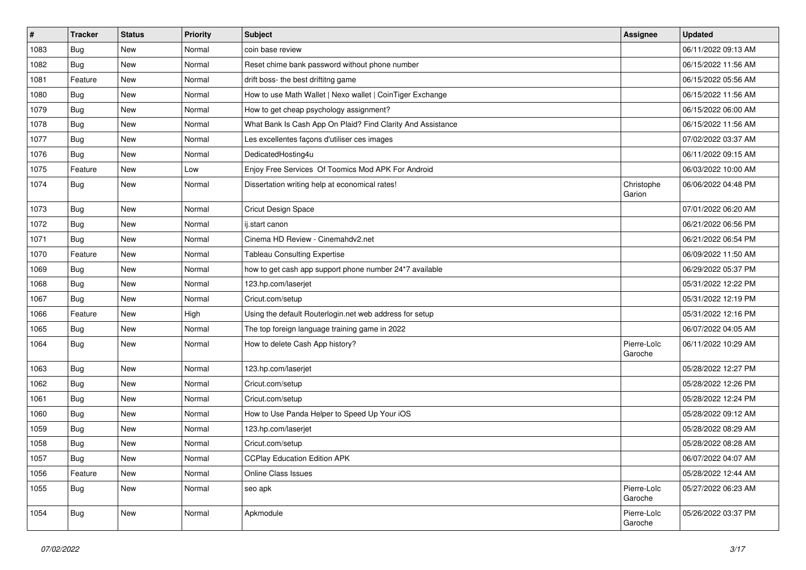| $\#$ | <b>Tracker</b> | <b>Status</b> | <b>Priority</b> | <b>Subject</b>                                              | <b>Assignee</b>        | <b>Updated</b>      |
|------|----------------|---------------|-----------------|-------------------------------------------------------------|------------------------|---------------------|
| 1083 | Bug            | New           | Normal          | coin base review                                            |                        | 06/11/2022 09:13 AM |
| 1082 | Bug            | <b>New</b>    | Normal          | Reset chime bank password without phone number              |                        | 06/15/2022 11:56 AM |
| 1081 | Feature        | New           | Normal          | drift boss- the best driftitng game                         |                        | 06/15/2022 05:56 AM |
| 1080 | <b>Bug</b>     | <b>New</b>    | Normal          | How to use Math Wallet   Nexo wallet   CoinTiger Exchange   |                        | 06/15/2022 11:56 AM |
| 1079 | Bug            | <b>New</b>    | Normal          | How to get cheap psychology assignment?                     |                        | 06/15/2022 06:00 AM |
| 1078 | Bug            | New           | Normal          | What Bank Is Cash App On Plaid? Find Clarity And Assistance |                        | 06/15/2022 11:56 AM |
| 1077 | Bug            | <b>New</b>    | Normal          | Les excellentes façons d'utiliser ces images                |                        | 07/02/2022 03:37 AM |
| 1076 | <b>Bug</b>     | New           | Normal          | DedicatedHosting4u                                          |                        | 06/11/2022 09:15 AM |
| 1075 | Feature        | <b>New</b>    | Low             | Enjoy Free Services Of Toomics Mod APK For Android          |                        | 06/03/2022 10:00 AM |
| 1074 | <b>Bug</b>     | <b>New</b>    | Normal          | Dissertation writing help at economical rates!              | Christophe<br>Garion   | 06/06/2022 04:48 PM |
| 1073 | Bug            | <b>New</b>    | Normal          | Cricut Design Space                                         |                        | 07/01/2022 06:20 AM |
| 1072 | Bug            | <b>New</b>    | Normal          | ij.start canon                                              |                        | 06/21/2022 06:56 PM |
| 1071 | Bug            | <b>New</b>    | Normal          | Cinema HD Review - Cinemahdv2.net                           |                        | 06/21/2022 06:54 PM |
| 1070 | Feature        | <b>New</b>    | Normal          | <b>Tableau Consulting Expertise</b>                         |                        | 06/09/2022 11:50 AM |
| 1069 | Bug            | New           | Normal          | how to get cash app support phone number 24*7 available     |                        | 06/29/2022 05:37 PM |
| 1068 | <b>Bug</b>     | <b>New</b>    | Normal          | 123.hp.com/laserjet                                         |                        | 05/31/2022 12:22 PM |
| 1067 | Bug            | <b>New</b>    | Normal          | Cricut.com/setup                                            |                        | 05/31/2022 12:19 PM |
| 1066 | Feature        | <b>New</b>    | High            | Using the default Routerlogin.net web address for setup     |                        | 05/31/2022 12:16 PM |
| 1065 | Bug            | <b>New</b>    | Normal          | The top foreign language training game in 2022              |                        | 06/07/2022 04:05 AM |
| 1064 | Bug            | New           | Normal          | How to delete Cash App history?                             | Pierre-Loïc<br>Garoche | 06/11/2022 10:29 AM |
| 1063 | Bug            | New           | Normal          | 123.hp.com/laserjet                                         |                        | 05/28/2022 12:27 PM |
| 1062 | Bug            | New           | Normal          | Cricut.com/setup                                            |                        | 05/28/2022 12:26 PM |
| 1061 | Bug            | New           | Normal          | Cricut.com/setup                                            |                        | 05/28/2022 12:24 PM |
| 1060 | Bug            | <b>New</b>    | Normal          | How to Use Panda Helper to Speed Up Your iOS                |                        | 05/28/2022 09:12 AM |
| 1059 | Bug            | New           | Normal          | 123.hp.com/laserjet                                         |                        | 05/28/2022 08:29 AM |
| 1058 | Bug            | New           | Normal          | Cricut.com/setup                                            |                        | 05/28/2022 08:28 AM |
| 1057 | Bug            | New           | Normal          | <b>CCPlay Education Edition APK</b>                         |                        | 06/07/2022 04:07 AM |
| 1056 | Feature        | New           | Normal          | <b>Online Class Issues</b>                                  |                        | 05/28/2022 12:44 AM |
| 1055 | <b>Bug</b>     | New           | Normal          | seo apk                                                     | Pierre-Loïc<br>Garoche | 05/27/2022 06:23 AM |
| 1054 | <b>Bug</b>     | New           | Normal          | Apkmodule                                                   | Pierre-Loïc<br>Garoche | 05/26/2022 03:37 PM |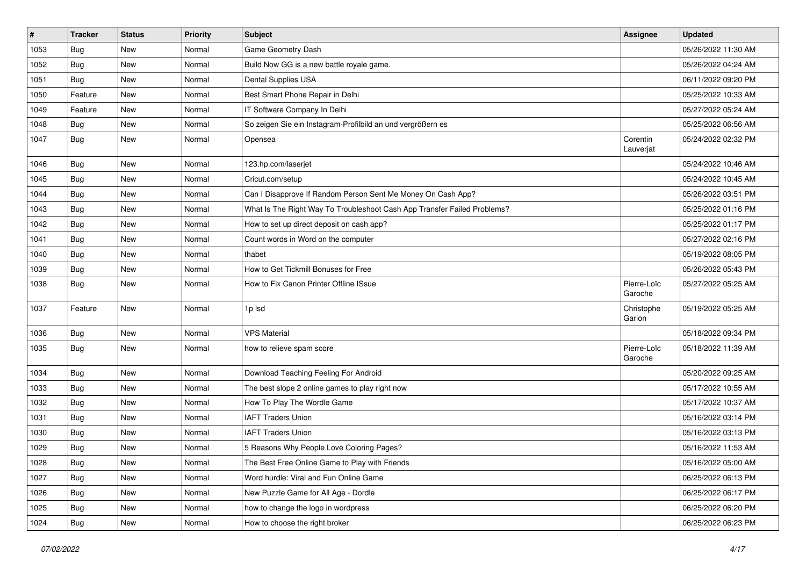| $\sharp$ | <b>Tracker</b> | <b>Status</b> | <b>Priority</b> | <b>Subject</b>                                                           | <b>Assignee</b>        | <b>Updated</b>      |
|----------|----------------|---------------|-----------------|--------------------------------------------------------------------------|------------------------|---------------------|
| 1053     | Bug            | New           | Normal          | Game Geometry Dash                                                       |                        | 05/26/2022 11:30 AM |
| 1052     | Bug            | <b>New</b>    | Normal          | Build Now GG is a new battle royale game.                                |                        | 05/26/2022 04:24 AM |
| 1051     | Bug            | New           | Normal          | Dental Supplies USA                                                      |                        | 06/11/2022 09:20 PM |
| 1050     | Feature        | <b>New</b>    | Normal          | Best Smart Phone Repair in Delhi                                         |                        | 05/25/2022 10:33 AM |
| 1049     | Feature        | New           | Normal          | IT Software Company In Delhi                                             |                        | 05/27/2022 05:24 AM |
| 1048     | Bug            | New           | Normal          | So zeigen Sie ein Instagram-Profilbild an und vergrößern es              |                        | 05/25/2022 06:56 AM |
| 1047     | Bug            | <b>New</b>    | Normal          | Opensea                                                                  | Corentin<br>Lauverjat  | 05/24/2022 02:32 PM |
| 1046     | Bug            | New           | Normal          | 123.hp.com/laserjet                                                      |                        | 05/24/2022 10:46 AM |
| 1045     | Bug            | <b>New</b>    | Normal          | Cricut.com/setup                                                         |                        | 05/24/2022 10:45 AM |
| 1044     | <b>Bug</b>     | New           | Normal          | Can I Disapprove If Random Person Sent Me Money On Cash App?             |                        | 05/26/2022 03:51 PM |
| 1043     | Bug            | <b>New</b>    | Normal          | What Is The Right Way To Troubleshoot Cash App Transfer Failed Problems? |                        | 05/25/2022 01:16 PM |
| 1042     | Bug            | New           | Normal          | How to set up direct deposit on cash app?                                |                        | 05/25/2022 01:17 PM |
| 1041     | Bug            | New           | Normal          | Count words in Word on the computer                                      |                        | 05/27/2022 02:16 PM |
| 1040     | Bug            | <b>New</b>    | Normal          | thabet                                                                   |                        | 05/19/2022 08:05 PM |
| 1039     | <b>Bug</b>     | New           | Normal          | How to Get Tickmill Bonuses for Free                                     |                        | 05/26/2022 05:43 PM |
| 1038     | Bug            | New           | Normal          | How to Fix Canon Printer Offline ISsue                                   | Pierre-Loïc<br>Garoche | 05/27/2022 05:25 AM |
| 1037     | Feature        | New           | Normal          | 1p lsd                                                                   | Christophe<br>Garion   | 05/19/2022 05:25 AM |
| 1036     | Bug            | <b>New</b>    | Normal          | <b>VPS Material</b>                                                      |                        | 05/18/2022 09:34 PM |
| 1035     | <b>Bug</b>     | New           | Normal          | how to relieve spam score                                                | Pierre-Loïc<br>Garoche | 05/18/2022 11:39 AM |
| 1034     | <b>Bug</b>     | New           | Normal          | Download Teaching Feeling For Android                                    |                        | 05/20/2022 09:25 AM |
| 1033     | Bug            | New           | Normal          | The best slope 2 online games to play right now                          |                        | 05/17/2022 10:55 AM |
| 1032     | Bug            | New           | Normal          | How To Play The Wordle Game                                              |                        | 05/17/2022 10:37 AM |
| 1031     | <b>Bug</b>     | New           | Normal          | <b>IAFT Traders Union</b>                                                |                        | 05/16/2022 03:14 PM |
| 1030     | <b>Bug</b>     | New           | Normal          | <b>IAFT Traders Union</b>                                                |                        | 05/16/2022 03:13 PM |
| 1029     | <b>Bug</b>     | New           | Normal          | 5 Reasons Why People Love Coloring Pages?                                |                        | 05/16/2022 11:53 AM |
| 1028     | <b>Bug</b>     | New           | Normal          | The Best Free Online Game to Play with Friends                           |                        | 05/16/2022 05:00 AM |
| 1027     | Bug            | New           | Normal          | Word hurdle: Viral and Fun Online Game                                   |                        | 06/25/2022 06:13 PM |
| 1026     | Bug            | New           | Normal          | New Puzzle Game for All Age - Dordle                                     |                        | 06/25/2022 06:17 PM |
| 1025     | Bug            | New           | Normal          | how to change the logo in wordpress                                      |                        | 06/25/2022 06:20 PM |
| 1024     | Bug            | New           | Normal          | How to choose the right broker                                           |                        | 06/25/2022 06:23 PM |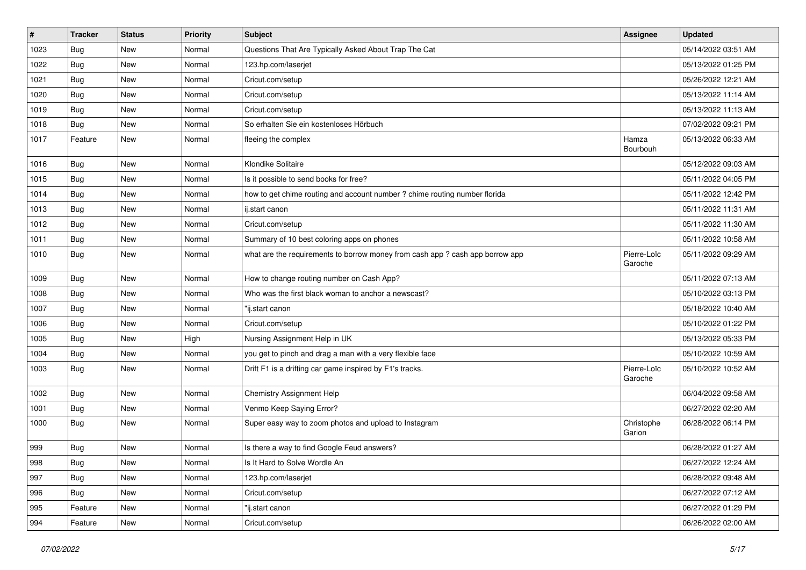| $\vert$ # | <b>Tracker</b> | <b>Status</b> | <b>Priority</b> | Subject                                                                       | Assignee               | <b>Updated</b>      |
|-----------|----------------|---------------|-----------------|-------------------------------------------------------------------------------|------------------------|---------------------|
| 1023      | <b>Bug</b>     | New           | Normal          | Questions That Are Typically Asked About Trap The Cat                         |                        | 05/14/2022 03:51 AM |
| 1022      | Bug            | New           | Normal          | 123.hp.com/laserjet                                                           |                        | 05/13/2022 01:25 PM |
| 1021      | Bug            | New           | Normal          | Cricut.com/setup                                                              |                        | 05/26/2022 12:21 AM |
| 1020      | Bug            | <b>New</b>    | Normal          | Cricut.com/setup                                                              |                        | 05/13/2022 11:14 AM |
| 1019      | Bug            | New           | Normal          | Cricut.com/setup                                                              |                        | 05/13/2022 11:13 AM |
| 1018      | Bug            | New           | Normal          | So erhalten Sie ein kostenloses Hörbuch                                       |                        | 07/02/2022 09:21 PM |
| 1017      | Feature        | <b>New</b>    | Normal          | fleeing the complex                                                           | Hamza<br>Bourbouh      | 05/13/2022 06:33 AM |
| 1016      | Bug            | New           | Normal          | Klondike Solitaire                                                            |                        | 05/12/2022 09:03 AM |
| 1015      | <b>Bug</b>     | <b>New</b>    | Normal          | Is it possible to send books for free?                                        |                        | 05/11/2022 04:05 PM |
| 1014      | Bug            | New           | Normal          | how to get chime routing and account number ? chime routing number florida    |                        | 05/11/2022 12:42 PM |
| 1013      | Bug            | <b>New</b>    | Normal          | ij.start canon                                                                |                        | 05/11/2022 11:31 AM |
| 1012      | Bug            | New           | Normal          | Cricut.com/setup                                                              |                        | 05/11/2022 11:30 AM |
| 1011      | Bug            | New           | Normal          | Summary of 10 best coloring apps on phones                                    |                        | 05/11/2022 10:58 AM |
| 1010      | Bug            | <b>New</b>    | Normal          | what are the requirements to borrow money from cash app ? cash app borrow app | Pierre-Loïc<br>Garoche | 05/11/2022 09:29 AM |
| 1009      | Bug            | New           | Normal          | How to change routing number on Cash App?                                     |                        | 05/11/2022 07:13 AM |
| 1008      | Bug            | <b>New</b>    | Normal          | Who was the first black woman to anchor a newscast?                           |                        | 05/10/2022 03:13 PM |
| 1007      | <b>Bug</b>     | New           | Normal          | "ij.start canon                                                               |                        | 05/18/2022 10:40 AM |
| 1006      | Bug            | <b>New</b>    | Normal          | Cricut.com/setup                                                              |                        | 05/10/2022 01:22 PM |
| 1005      | Bug            | New           | High            | Nursing Assignment Help in UK                                                 |                        | 05/13/2022 05:33 PM |
| 1004      | Bug            | New           | Normal          | you get to pinch and drag a man with a very flexible face                     |                        | 05/10/2022 10:59 AM |
| 1003      | Bug            | <b>New</b>    | Normal          | Drift F1 is a drifting car game inspired by F1's tracks.                      | Pierre-Loïc<br>Garoche | 05/10/2022 10:52 AM |
| 1002      | Bug            | <b>New</b>    | Normal          | Chemistry Assignment Help                                                     |                        | 06/04/2022 09:58 AM |
| 1001      | Bug            | New           | Normal          | Venmo Keep Saying Error?                                                      |                        | 06/27/2022 02:20 AM |
| 1000      | Bug            | New           | Normal          | Super easy way to zoom photos and upload to Instagram                         | Christophe<br>Garion   | 06/28/2022 06:14 PM |
| 999       | <b>Bug</b>     | New           | Normal          | Is there a way to find Google Feud answers?                                   |                        | 06/28/2022 01:27 AM |
| 998       | <b>Bug</b>     | New           | Normal          | Is It Hard to Solve Wordle An                                                 |                        | 06/27/2022 12:24 AM |
| 997       | Bug            | New           | Normal          | 123.hp.com/laserjet                                                           |                        | 06/28/2022 09:48 AM |
| 996       | Bug            | New           | Normal          | Cricut.com/setup                                                              |                        | 06/27/2022 07:12 AM |
| 995       | Feature        | New           | Normal          | "ij.start canon                                                               |                        | 06/27/2022 01:29 PM |
| 994       | Feature        | New           | Normal          | Cricut.com/setup                                                              |                        | 06/26/2022 02:00 AM |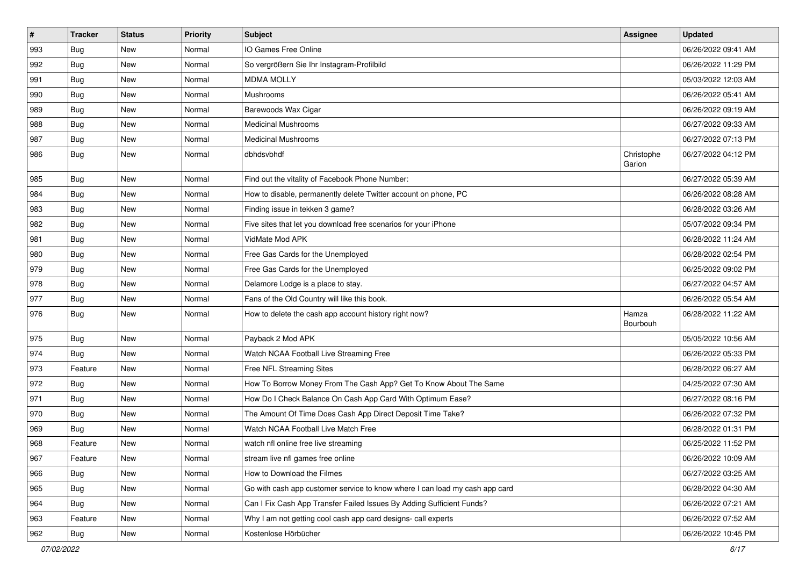| $\vert$ # | <b>Tracker</b> | <b>Status</b> | <b>Priority</b> | <b>Subject</b>                                                              | Assignee             | <b>Updated</b>      |
|-----------|----------------|---------------|-----------------|-----------------------------------------------------------------------------|----------------------|---------------------|
| 993       | Bug            | <b>New</b>    | Normal          | IO Games Free Online                                                        |                      | 06/26/2022 09:41 AM |
| 992       | Bug            | <b>New</b>    | Normal          | So vergrößern Sie Ihr Instagram-Profilbild                                  |                      | 06/26/2022 11:29 PM |
| 991       | Bug            | New           | Normal          | <b>MDMA MOLLY</b>                                                           |                      | 05/03/2022 12:03 AM |
| 990       | Bug            | <b>New</b>    | Normal          | Mushrooms                                                                   |                      | 06/26/2022 05:41 AM |
| 989       | Bug            | <b>New</b>    | Normal          | Barewoods Wax Cigar                                                         |                      | 06/26/2022 09:19 AM |
| 988       | Bug            | <b>New</b>    | Normal          | <b>Medicinal Mushrooms</b>                                                  |                      | 06/27/2022 09:33 AM |
| 987       | Bug            | <b>New</b>    | Normal          | <b>Medicinal Mushrooms</b>                                                  |                      | 06/27/2022 07:13 PM |
| 986       | Bug            | <b>New</b>    | Normal          | dbhdsvbhdf                                                                  | Christophe<br>Garion | 06/27/2022 04:12 PM |
| 985       | Bug            | <b>New</b>    | Normal          | Find out the vitality of Facebook Phone Number:                             |                      | 06/27/2022 05:39 AM |
| 984       | Bug            | <b>New</b>    | Normal          | How to disable, permanently delete Twitter account on phone, PC             |                      | 06/26/2022 08:28 AM |
| 983       | Bug            | <b>New</b>    | Normal          | Finding issue in tekken 3 game?                                             |                      | 06/28/2022 03:26 AM |
| 982       | Bug            | <b>New</b>    | Normal          | Five sites that let you download free scenarios for your iPhone             |                      | 05/07/2022 09:34 PM |
| 981       | Bug            | <b>New</b>    | Normal          | VidMate Mod APK                                                             |                      | 06/28/2022 11:24 AM |
| 980       | Bug            | <b>New</b>    | Normal          | Free Gas Cards for the Unemployed                                           |                      | 06/28/2022 02:54 PM |
| 979       | Bug            | <b>New</b>    | Normal          | Free Gas Cards for the Unemployed                                           |                      | 06/25/2022 09:02 PM |
| 978       | Bug            | <b>New</b>    | Normal          | Delamore Lodge is a place to stay.                                          |                      | 06/27/2022 04:57 AM |
| 977       | Bug            | <b>New</b>    | Normal          | Fans of the Old Country will like this book.                                |                      | 06/26/2022 05:54 AM |
| 976       | Bug            | <b>New</b>    | Normal          | How to delete the cash app account history right now?                       | Hamza<br>Bourbouh    | 06/28/2022 11:22 AM |
| 975       | Bug            | <b>New</b>    | Normal          | Payback 2 Mod APK                                                           |                      | 05/05/2022 10:56 AM |
| 974       | Bug            | <b>New</b>    | Normal          | Watch NCAA Football Live Streaming Free                                     |                      | 06/26/2022 05:33 PM |
| 973       | Feature        | <b>New</b>    | Normal          | Free NFL Streaming Sites                                                    |                      | 06/28/2022 06:27 AM |
| 972       | Bug            | New           | Normal          | How To Borrow Money From The Cash App? Get To Know About The Same           |                      | 04/25/2022 07:30 AM |
| 971       | <b>Bug</b>     | <b>New</b>    | Normal          | How Do I Check Balance On Cash App Card With Optimum Ease?                  |                      | 06/27/2022 08:16 PM |
| 970       | Bug            | <b>New</b>    | Normal          | The Amount Of Time Does Cash App Direct Deposit Time Take?                  |                      | 06/26/2022 07:32 PM |
| 969       | Bug            | <b>New</b>    | Normal          | Watch NCAA Football Live Match Free                                         |                      | 06/28/2022 01:31 PM |
| 968       | Feature        | <b>New</b>    | Normal          | watch nfl online free live streaming                                        |                      | 06/25/2022 11:52 PM |
| 967       | Feature        | New           | Normal          | stream live nfl games free online                                           |                      | 06/26/2022 10:09 AM |
| 966       | <b>Bug</b>     | New           | Normal          | How to Download the Filmes                                                  |                      | 06/27/2022 03:25 AM |
| 965       | Bug            | New           | Normal          | Go with cash app customer service to know where I can load my cash app card |                      | 06/28/2022 04:30 AM |
| 964       | <b>Bug</b>     | New           | Normal          | Can I Fix Cash App Transfer Failed Issues By Adding Sufficient Funds?       |                      | 06/26/2022 07:21 AM |
| 963       | Feature        | New           | Normal          | Why I am not getting cool cash app card designs- call experts               |                      | 06/26/2022 07:52 AM |
| 962       | <b>Bug</b>     | New           | Normal          | Kostenlose Hörbücher                                                        |                      | 06/26/2022 10:45 PM |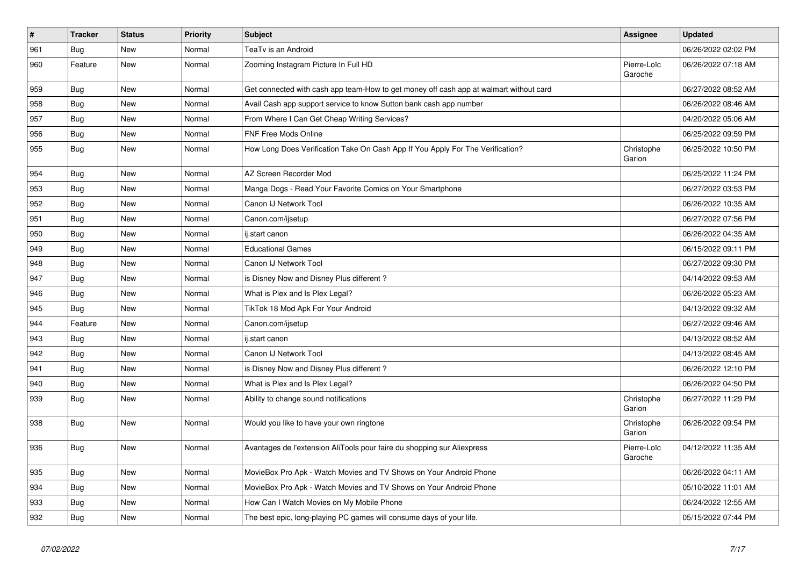| $\vert$ # | <b>Tracker</b> | <b>Status</b> | <b>Priority</b> | <b>Subject</b>                                                                         | Assignee               | <b>Updated</b>      |
|-----------|----------------|---------------|-----------------|----------------------------------------------------------------------------------------|------------------------|---------------------|
| 961       | <b>Bug</b>     | <b>New</b>    | Normal          | TeaTv is an Android                                                                    |                        | 06/26/2022 02:02 PM |
| 960       | Feature        | <b>New</b>    | Normal          | Zooming Instagram Picture In Full HD                                                   | Pierre-Loïc<br>Garoche | 06/26/2022 07:18 AM |
| 959       | <b>Bug</b>     | <b>New</b>    | Normal          | Get connected with cash app team-How to get money off cash app at walmart without card |                        | 06/27/2022 08:52 AM |
| 958       | <b>Bug</b>     | <b>New</b>    | Normal          | Avail Cash app support service to know Sutton bank cash app number                     |                        | 06/26/2022 08:46 AM |
| 957       | Bug            | <b>New</b>    | Normal          | From Where I Can Get Cheap Writing Services?                                           |                        | 04/20/2022 05:06 AM |
| 956       | Bug            | <b>New</b>    | Normal          | FNF Free Mods Online                                                                   |                        | 06/25/2022 09:59 PM |
| 955       | <b>Bug</b>     | <b>New</b>    | Normal          | How Long Does Verification Take On Cash App If You Apply For The Verification?         | Christophe<br>Garion   | 06/25/2022 10:50 PM |
| 954       | Bug            | <b>New</b>    | Normal          | AZ Screen Recorder Mod                                                                 |                        | 06/25/2022 11:24 PM |
| 953       | Bug            | <b>New</b>    | Normal          | Manga Dogs - Read Your Favorite Comics on Your Smartphone                              |                        | 06/27/2022 03:53 PM |
| 952       | Bug            | New           | Normal          | Canon IJ Network Tool                                                                  |                        | 06/26/2022 10:35 AM |
| 951       | <b>Bug</b>     | <b>New</b>    | Normal          | Canon.com/ijsetup                                                                      |                        | 06/27/2022 07:56 PM |
| 950       | Bug            | <b>New</b>    | Normal          | ij.start canon                                                                         |                        | 06/26/2022 04:35 AM |
| 949       | Bug            | <b>New</b>    | Normal          | <b>Educational Games</b>                                                               |                        | 06/15/2022 09:11 PM |
| 948       | <b>Bug</b>     | <b>New</b>    | Normal          | Canon IJ Network Tool                                                                  |                        | 06/27/2022 09:30 PM |
| 947       | <b>Bug</b>     | <b>New</b>    | Normal          | is Disney Now and Disney Plus different?                                               |                        | 04/14/2022 09:53 AM |
| 946       | <b>Bug</b>     | <b>New</b>    | Normal          | What is Plex and Is Plex Legal?                                                        |                        | 06/26/2022 05:23 AM |
| 945       | Bug            | <b>New</b>    | Normal          | TikTok 18 Mod Apk For Your Android                                                     |                        | 04/13/2022 09:32 AM |
| 944       | Feature        | <b>New</b>    | Normal          | Canon.com/ijsetup                                                                      |                        | 06/27/2022 09:46 AM |
| 943       | Bug            | <b>New</b>    | Normal          | ij.start canon                                                                         |                        | 04/13/2022 08:52 AM |
| 942       | Bug            | <b>New</b>    | Normal          | Canon IJ Network Tool                                                                  |                        | 04/13/2022 08:45 AM |
| 941       | Bug            | <b>New</b>    | Normal          | is Disney Now and Disney Plus different?                                               |                        | 06/26/2022 12:10 PM |
| 940       | <b>Bug</b>     | <b>New</b>    | Normal          | What is Plex and Is Plex Legal?                                                        |                        | 06/26/2022 04:50 PM |
| 939       | <b>Bug</b>     | <b>New</b>    | Normal          | Ability to change sound notifications                                                  | Christophe<br>Garion   | 06/27/2022 11:29 PM |
| 938       | Bug            | New           | Normal          | Would you like to have your own ringtone                                               | Christophe<br>Garion   | 06/26/2022 09:54 PM |
| 936       | <b>Bug</b>     | <b>New</b>    | Normal          | Avantages de l'extension AliTools pour faire du shopping sur Aliexpress                | Pierre-Loïc<br>Garoche | 04/12/2022 11:35 AM |
| 935       | Bug            | <b>New</b>    | Normal          | MovieBox Pro Apk - Watch Movies and TV Shows on Your Android Phone                     |                        | 06/26/2022 04:11 AM |
| 934       | Bug            | <b>New</b>    | Normal          | MovieBox Pro Apk - Watch Movies and TV Shows on Your Android Phone                     |                        | 05/10/2022 11:01 AM |
| 933       | <b>Bug</b>     | <b>New</b>    | Normal          | How Can I Watch Movies on My Mobile Phone                                              |                        | 06/24/2022 12:55 AM |
| 932       | Bug            | New           | Normal          | The best epic, long-playing PC games will consume days of your life.                   |                        | 05/15/2022 07:44 PM |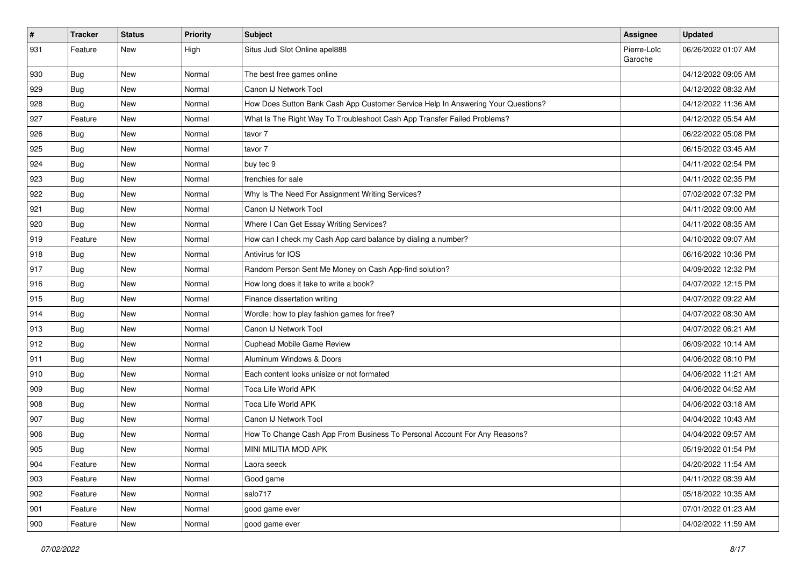| #   | <b>Tracker</b> | <b>Status</b> | <b>Priority</b> | <b>Subject</b>                                                                   | <b>Assignee</b>        | <b>Updated</b>      |
|-----|----------------|---------------|-----------------|----------------------------------------------------------------------------------|------------------------|---------------------|
| 931 | Feature        | <b>New</b>    | High            | Situs Judi Slot Online apel888                                                   | Pierre-Loïc<br>Garoche | 06/26/2022 01:07 AM |
| 930 | Bug            | <b>New</b>    | Normal          | The best free games online                                                       |                        | 04/12/2022 09:05 AM |
| 929 | Bug            | <b>New</b>    | Normal          | Canon IJ Network Tool                                                            |                        | 04/12/2022 08:32 AM |
| 928 | Bug            | New           | Normal          | How Does Sutton Bank Cash App Customer Service Help In Answering Your Questions? |                        | 04/12/2022 11:36 AM |
| 927 | Feature        | <b>New</b>    | Normal          | What Is The Right Way To Troubleshoot Cash App Transfer Failed Problems?         |                        | 04/12/2022 05:54 AM |
| 926 | <b>Bug</b>     | <b>New</b>    | Normal          | tavor 7                                                                          |                        | 06/22/2022 05:08 PM |
| 925 | Bug            | New           | Normal          | tavor 7                                                                          |                        | 06/15/2022 03:45 AM |
| 924 | Bug            | <b>New</b>    | Normal          | buy tec 9                                                                        |                        | 04/11/2022 02:54 PM |
| 923 | Bug            | <b>New</b>    | Normal          | frenchies for sale                                                               |                        | 04/11/2022 02:35 PM |
| 922 | Bug            | <b>New</b>    | Normal          | Why Is The Need For Assignment Writing Services?                                 |                        | 07/02/2022 07:32 PM |
| 921 | Bug            | <b>New</b>    | Normal          | Canon IJ Network Tool                                                            |                        | 04/11/2022 09:00 AM |
| 920 | Bug            | New           | Normal          | Where I Can Get Essay Writing Services?                                          |                        | 04/11/2022 08:35 AM |
| 919 | Feature        | <b>New</b>    | Normal          | How can I check my Cash App card balance by dialing a number?                    |                        | 04/10/2022 09:07 AM |
| 918 | Bug            | <b>New</b>    | Normal          | Antivirus for IOS                                                                |                        | 06/16/2022 10:36 PM |
| 917 | Bug            | New           | Normal          | Random Person Sent Me Money on Cash App-find solution?                           |                        | 04/09/2022 12:32 PM |
| 916 | Bug            | <b>New</b>    | Normal          | How long does it take to write a book?                                           |                        | 04/07/2022 12:15 PM |
| 915 | Bug            | <b>New</b>    | Normal          | Finance dissertation writing                                                     |                        | 04/07/2022 09:22 AM |
| 914 | Bug            | <b>New</b>    | Normal          | Wordle: how to play fashion games for free?                                      |                        | 04/07/2022 08:30 AM |
| 913 | Bug            | <b>New</b>    | Normal          | Canon IJ Network Tool                                                            |                        | 04/07/2022 06:21 AM |
| 912 | Bug            | New           | Normal          | <b>Cuphead Mobile Game Review</b>                                                |                        | 06/09/2022 10:14 AM |
| 911 | Bug            | <b>New</b>    | Normal          | Aluminum Windows & Doors                                                         |                        | 04/06/2022 08:10 PM |
| 910 | Bug            | <b>New</b>    | Normal          | Each content looks unisize or not formated                                       |                        | 04/06/2022 11:21 AM |
| 909 | <b>Bug</b>     | <b>New</b>    | Normal          | Toca Life World APK                                                              |                        | 04/06/2022 04:52 AM |
| 908 | Bug            | <b>New</b>    | Normal          | Toca Life World APK                                                              |                        | 04/06/2022 03:18 AM |
| 907 | Bug            | New           | Normal          | Canon IJ Network Tool                                                            |                        | 04/04/2022 10:43 AM |
| 906 | Bug            | <b>New</b>    | Normal          | How To Change Cash App From Business To Personal Account For Any Reasons?        |                        | 04/04/2022 09:57 AM |
| 905 | <b>Bug</b>     | <b>New</b>    | Normal          | MINI MILITIA MOD APK                                                             |                        | 05/19/2022 01:54 PM |
| 904 | Feature        | New           | Normal          | Laora seeck                                                                      |                        | 04/20/2022 11:54 AM |
| 903 | Feature        | New           | Normal          | Good game                                                                        |                        | 04/11/2022 08:39 AM |
| 902 | Feature        | New           | Normal          | salo717                                                                          |                        | 05/18/2022 10:35 AM |
| 901 | Feature        | New           | Normal          | good game ever                                                                   |                        | 07/01/2022 01:23 AM |
| 900 | Feature        | New           | Normal          | good game ever                                                                   |                        | 04/02/2022 11:59 AM |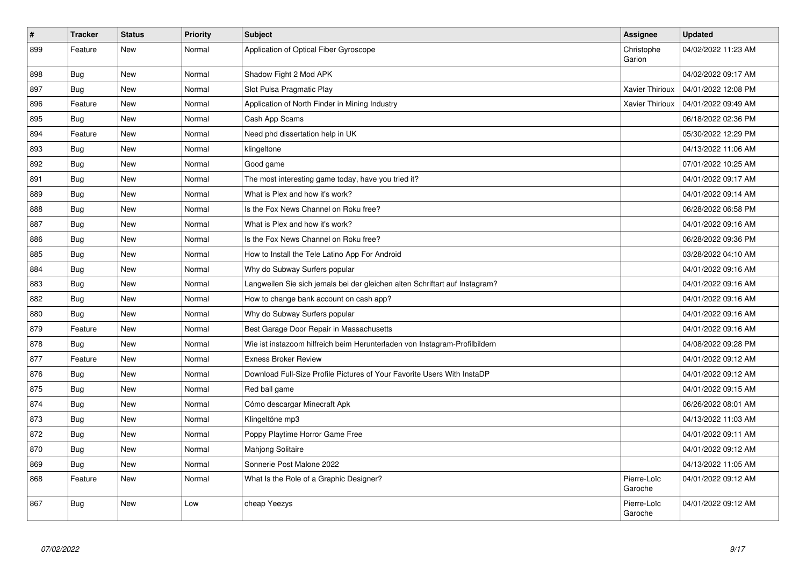| $\sharp$ | <b>Tracker</b> | <b>Status</b> | <b>Priority</b> | <b>Subject</b>                                                              | Assignee               | <b>Updated</b>      |
|----------|----------------|---------------|-----------------|-----------------------------------------------------------------------------|------------------------|---------------------|
| 899      | Feature        | New           | Normal          | Application of Optical Fiber Gyroscope                                      | Christophe<br>Garion   | 04/02/2022 11:23 AM |
| 898      | Bug            | New           | Normal          | Shadow Fight 2 Mod APK                                                      |                        | 04/02/2022 09:17 AM |
| 897      | <b>Bug</b>     | New           | Normal          | Slot Pulsa Pragmatic Play                                                   | Xavier Thirioux        | 04/01/2022 12:08 PM |
| 896      | Feature        | <b>New</b>    | Normal          | Application of North Finder in Mining Industry                              | <b>Xavier Thirioux</b> | 04/01/2022 09:49 AM |
| 895      | <b>Bug</b>     | <b>New</b>    | Normal          | Cash App Scams                                                              |                        | 06/18/2022 02:36 PM |
| 894      | Feature        | <b>New</b>    | Normal          | Need phd dissertation help in UK                                            |                        | 05/30/2022 12:29 PM |
| 893      | <b>Bug</b>     | <b>New</b>    | Normal          | klingeltone                                                                 |                        | 04/13/2022 11:06 AM |
| 892      | Bug            | <b>New</b>    | Normal          | Good game                                                                   |                        | 07/01/2022 10:25 AM |
| 891      | <b>Bug</b>     | <b>New</b>    | Normal          | The most interesting game today, have you tried it?                         |                        | 04/01/2022 09:17 AM |
| 889      | <b>Bug</b>     | <b>New</b>    | Normal          | What is Plex and how it's work?                                             |                        | 04/01/2022 09:14 AM |
| 888      | Bug            | <b>New</b>    | Normal          | Is the Fox News Channel on Roku free?                                       |                        | 06/28/2022 06:58 PM |
| 887      | Bug            | <b>New</b>    | Normal          | What is Plex and how it's work?                                             |                        | 04/01/2022 09:16 AM |
| 886      | Bug            | New           | Normal          | Is the Fox News Channel on Roku free?                                       |                        | 06/28/2022 09:36 PM |
| 885      | <b>Bug</b>     | New           | Normal          | How to Install the Tele Latino App For Android                              |                        | 03/28/2022 04:10 AM |
| 884      | Bug            | <b>New</b>    | Normal          | Why do Subway Surfers popular                                               |                        | 04/01/2022 09:16 AM |
| 883      | <b>Bug</b>     | New           | Normal          | Langweilen Sie sich jemals bei der gleichen alten Schriftart auf Instagram? |                        | 04/01/2022 09:16 AM |
| 882      | <b>Bug</b>     | <b>New</b>    | Normal          | How to change bank account on cash app?                                     |                        | 04/01/2022 09:16 AM |
| 880      | <b>Bug</b>     | New           | Normal          | Why do Subway Surfers popular                                               |                        | 04/01/2022 09:16 AM |
| 879      | Feature        | <b>New</b>    | Normal          | Best Garage Door Repair in Massachusetts                                    |                        | 04/01/2022 09:16 AM |
| 878      | <b>Bug</b>     | <b>New</b>    | Normal          | Wie ist instazoom hilfreich beim Herunterladen von Instagram-Profilbildern  |                        | 04/08/2022 09:28 PM |
| 877      | Feature        | <b>New</b>    | Normal          | <b>Exness Broker Review</b>                                                 |                        | 04/01/2022 09:12 AM |
| 876      | <b>Bug</b>     | <b>New</b>    | Normal          | Download Full-Size Profile Pictures of Your Favorite Users With InstaDP     |                        | 04/01/2022 09:12 AM |
| 875      | Bug            | New           | Normal          | Red ball game                                                               |                        | 04/01/2022 09:15 AM |
| 874      | <b>Bug</b>     | New           | Normal          | Cómo descargar Minecraft Apk                                                |                        | 06/26/2022 08:01 AM |
| 873      | Bug            | New           | Normal          | Klingeltöne mp3                                                             |                        | 04/13/2022 11:03 AM |
| 872      | Bug            | <b>New</b>    | Normal          | Poppy Playtime Horror Game Free                                             |                        | 04/01/2022 09:11 AM |
| 870      | Bug            | New           | Normal          | <b>Mahjong Solitaire</b>                                                    |                        | 04/01/2022 09:12 AM |
| 869      | <b>Bug</b>     | New           | Normal          | Sonnerie Post Malone 2022                                                   |                        | 04/13/2022 11:05 AM |
| 868      | Feature        | <b>New</b>    | Normal          | What Is the Role of a Graphic Designer?                                     | Pierre-Loïc<br>Garoche | 04/01/2022 09:12 AM |
| 867      | <b>Bug</b>     | <b>New</b>    | Low             | cheap Yeezys                                                                | Pierre-Loïc<br>Garoche | 04/01/2022 09:12 AM |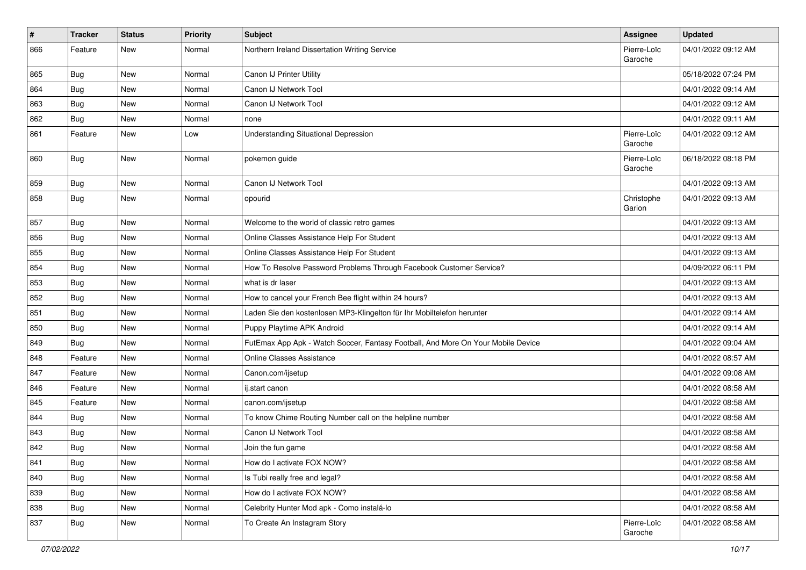| #   | <b>Tracker</b> | <b>Status</b> | <b>Priority</b> | Subject                                                                          | <b>Assignee</b>        | <b>Updated</b>      |
|-----|----------------|---------------|-----------------|----------------------------------------------------------------------------------|------------------------|---------------------|
| 866 | Feature        | <b>New</b>    | Normal          | Northern Ireland Dissertation Writing Service                                    | Pierre-Loïc<br>Garoche | 04/01/2022 09:12 AM |
| 865 | Bug            | <b>New</b>    | Normal          | Canon IJ Printer Utility                                                         |                        | 05/18/2022 07:24 PM |
| 864 | Bug            | <b>New</b>    | Normal          | Canon IJ Network Tool                                                            |                        | 04/01/2022 09:14 AM |
| 863 | Bug            | New           | Normal          | Canon IJ Network Tool                                                            |                        | 04/01/2022 09:12 AM |
| 862 | Bug            | <b>New</b>    | Normal          | none                                                                             |                        | 04/01/2022 09:11 AM |
| 861 | Feature        | <b>New</b>    | Low             | <b>Understanding Situational Depression</b>                                      | Pierre-Loïc<br>Garoche | 04/01/2022 09:12 AM |
| 860 | Bug            | <b>New</b>    | Normal          | pokemon guide                                                                    | Pierre-Loïc<br>Garoche | 06/18/2022 08:18 PM |
| 859 | Bug            | New           | Normal          | Canon IJ Network Tool                                                            |                        | 04/01/2022 09:13 AM |
| 858 | Bug            | <b>New</b>    | Normal          | opourid                                                                          | Christophe<br>Garion   | 04/01/2022 09:13 AM |
| 857 | Bug            | New           | Normal          | Welcome to the world of classic retro games                                      |                        | 04/01/2022 09:13 AM |
| 856 | Bug            | <b>New</b>    | Normal          | Online Classes Assistance Help For Student                                       |                        | 04/01/2022 09:13 AM |
| 855 | Bug            | <b>New</b>    | Normal          | Online Classes Assistance Help For Student                                       |                        | 04/01/2022 09:13 AM |
| 854 | Bug            | <b>New</b>    | Normal          | How To Resolve Password Problems Through Facebook Customer Service?              |                        | 04/09/2022 06:11 PM |
| 853 | Bug            | <b>New</b>    | Normal          | what is dr laser                                                                 |                        | 04/01/2022 09:13 AM |
| 852 | Bug            | New           | Normal          | How to cancel your French Bee flight within 24 hours?                            |                        | 04/01/2022 09:13 AM |
| 851 | Bug            | <b>New</b>    | Normal          | Laden Sie den kostenlosen MP3-Klingelton für Ihr Mobiltelefon herunter           |                        | 04/01/2022 09:14 AM |
| 850 | Bug            | <b>New</b>    | Normal          | Puppy Playtime APK Android                                                       |                        | 04/01/2022 09:14 AM |
| 849 | Bug            | <b>New</b>    | Normal          | FutEmax App Apk - Watch Soccer, Fantasy Football, And More On Your Mobile Device |                        | 04/01/2022 09:04 AM |
| 848 | Feature        | New           | Normal          | Online Classes Assistance                                                        |                        | 04/01/2022 08:57 AM |
| 847 | Feature        | New           | Normal          | Canon.com/ijsetup                                                                |                        | 04/01/2022 09:08 AM |
| 846 | Feature        | <b>New</b>    | Normal          | ij.start canon                                                                   |                        | 04/01/2022 08:58 AM |
| 845 | Feature        | <b>New</b>    | Normal          | canon.com/ijsetup                                                                |                        | 04/01/2022 08:58 AM |
| 844 | Bug            | <b>New</b>    | Normal          | To know Chime Routing Number call on the helpline number                         |                        | 04/01/2022 08:58 AM |
| 843 | Bug            | <b>New</b>    | Normal          | Canon IJ Network Tool                                                            |                        | 04/01/2022 08:58 AM |
| 842 | Bug            | New           | Normal          | Join the fun game                                                                |                        | 04/01/2022 08:58 AM |
| 841 | <b>Bug</b>     | New           | Normal          | How do I activate FOX NOW?                                                       |                        | 04/01/2022 08:58 AM |
| 840 | <b>Bug</b>     | New           | Normal          | Is Tubi really free and legal?                                                   |                        | 04/01/2022 08:58 AM |
| 839 | Bug            | New           | Normal          | How do I activate FOX NOW?                                                       |                        | 04/01/2022 08:58 AM |
| 838 | Bug            | New           | Normal          | Celebrity Hunter Mod apk - Como instalá-lo                                       |                        | 04/01/2022 08:58 AM |
| 837 | <b>Bug</b>     | New           | Normal          | To Create An Instagram Story                                                     | Pierre-Loïc<br>Garoche | 04/01/2022 08:58 AM |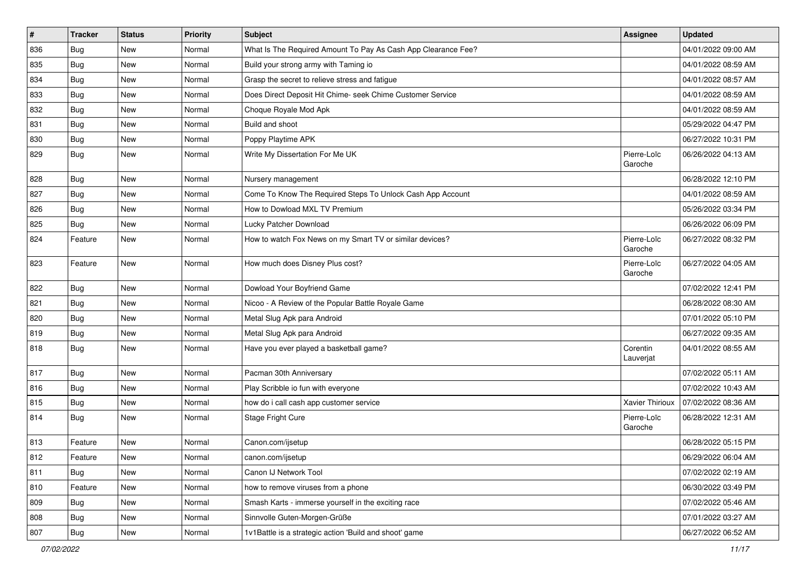| $\vert$ # | <b>Tracker</b> | <b>Status</b> | <b>Priority</b> | <b>Subject</b>                                                | <b>Assignee</b>        | <b>Updated</b>      |
|-----------|----------------|---------------|-----------------|---------------------------------------------------------------|------------------------|---------------------|
| 836       | Bug            | New           | Normal          | What Is The Required Amount To Pay As Cash App Clearance Fee? |                        | 04/01/2022 09:00 AM |
| 835       | Bug            | <b>New</b>    | Normal          | Build your strong army with Taming io                         |                        | 04/01/2022 08:59 AM |
| 834       | Bug            | New           | Normal          | Grasp the secret to relieve stress and fatigue                |                        | 04/01/2022 08:57 AM |
| 833       | Bug            | <b>New</b>    | Normal          | Does Direct Deposit Hit Chime- seek Chime Customer Service    |                        | 04/01/2022 08:59 AM |
| 832       | Bug            | <b>New</b>    | Normal          | Choque Royale Mod Apk                                         |                        | 04/01/2022 08:59 AM |
| 831       | Bug            | <b>New</b>    | Normal          | Build and shoot                                               |                        | 05/29/2022 04:47 PM |
| 830       | Bug            | <b>New</b>    | Normal          | Poppy Playtime APK                                            |                        | 06/27/2022 10:31 PM |
| 829       | Bug            | <b>New</b>    | Normal          | Write My Dissertation For Me UK                               | Pierre-Loïc<br>Garoche | 06/26/2022 04:13 AM |
| 828       | Bug            | <b>New</b>    | Normal          | Nursery management                                            |                        | 06/28/2022 12:10 PM |
| 827       | Bug            | New           | Normal          | Come To Know The Required Steps To Unlock Cash App Account    |                        | 04/01/2022 08:59 AM |
| 826       | Bug            | <b>New</b>    | Normal          | How to Dowload MXL TV Premium                                 |                        | 05/26/2022 03:34 PM |
| 825       | Bug            | <b>New</b>    | Normal          | Lucky Patcher Download                                        |                        | 06/26/2022 06:09 PM |
| 824       | Feature        | New           | Normal          | How to watch Fox News on my Smart TV or similar devices?      | Pierre-Loïc<br>Garoche | 06/27/2022 08:32 PM |
| 823       | Feature        | <b>New</b>    | Normal          | How much does Disney Plus cost?                               | Pierre-Loïc<br>Garoche | 06/27/2022 04:05 AM |
| 822       | Bug            | <b>New</b>    | Normal          | Dowload Your Boyfriend Game                                   |                        | 07/02/2022 12:41 PM |
| 821       | Bug            | New           | Normal          | Nicoo - A Review of the Popular Battle Royale Game            |                        | 06/28/2022 08:30 AM |
| 820       | Bug            | <b>New</b>    | Normal          | Metal Slug Apk para Android                                   |                        | 07/01/2022 05:10 PM |
| 819       | Bug            | New           | Normal          | Metal Slug Apk para Android                                   |                        | 06/27/2022 09:35 AM |
| 818       | Bug            | <b>New</b>    | Normal          | Have you ever played a basketball game?                       | Corentin<br>Lauverjat  | 04/01/2022 08:55 AM |
| 817       | Bug            | <b>New</b>    | Normal          | Pacman 30th Anniversary                                       |                        | 07/02/2022 05:11 AM |
| 816       | Bug            | <b>New</b>    | Normal          | Play Scribble io fun with everyone                            |                        | 07/02/2022 10:43 AM |
| 815       | Bug            | <b>New</b>    | Normal          | how do i call cash app customer service                       | Xavier Thirioux        | 07/02/2022 08:36 AM |
| 814       | Bug            | <b>New</b>    | Normal          | Stage Fright Cure                                             | Pierre-Loïc<br>Garoche | 06/28/2022 12:31 AM |
| 813       | Feature        | New           | Normal          | Canon.com/ijsetup                                             |                        | 06/28/2022 05:15 PM |
| 812       | Feature        | New           | Normal          | canon.com/ijsetup                                             |                        | 06/29/2022 06:04 AM |
| 811       | Bug            | New           | Normal          | Canon IJ Network Tool                                         |                        | 07/02/2022 02:19 AM |
| 810       | Feature        | New           | Normal          | how to remove viruses from a phone                            |                        | 06/30/2022 03:49 PM |
| 809       | Bug            | New           | Normal          | Smash Karts - immerse yourself in the exciting race           |                        | 07/02/2022 05:46 AM |
| 808       | Bug            | New           | Normal          | Sinnvolle Guten-Morgen-Grüße                                  |                        | 07/01/2022 03:27 AM |
| 807       | <b>Bug</b>     | New           | Normal          | 1v1Battle is a strategic action 'Build and shoot' game        |                        | 06/27/2022 06:52 AM |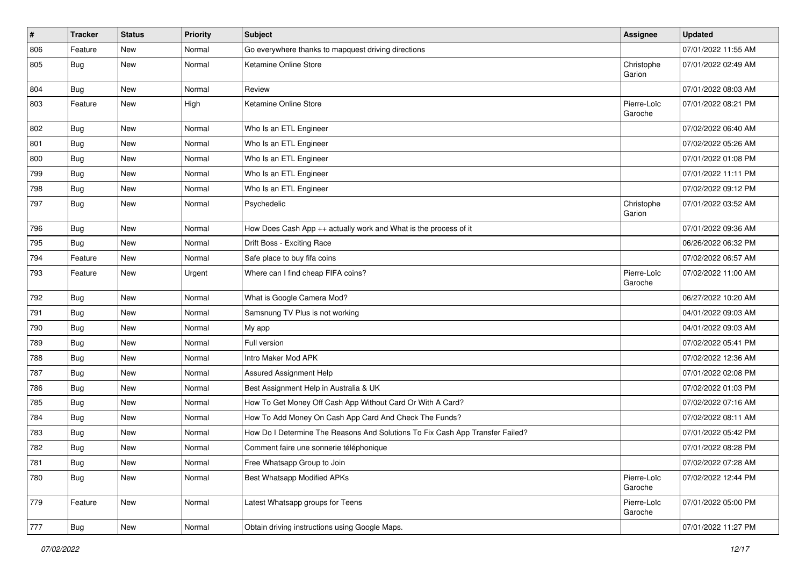| #   | <b>Tracker</b> | <b>Status</b> | <b>Priority</b> | <b>Subject</b>                                                                | <b>Assignee</b>        | <b>Updated</b>      |
|-----|----------------|---------------|-----------------|-------------------------------------------------------------------------------|------------------------|---------------------|
| 806 | Feature        | New           | Normal          | Go everywhere thanks to mapquest driving directions                           |                        | 07/01/2022 11:55 AM |
| 805 | Bug            | New           | Normal          | Ketamine Online Store                                                         | Christophe<br>Garion   | 07/01/2022 02:49 AM |
| 804 | Bug            | New           | Normal          | Review                                                                        |                        | 07/01/2022 08:03 AM |
| 803 | Feature        | New           | High            | Ketamine Online Store                                                         | Pierre-Loïc<br>Garoche | 07/01/2022 08:21 PM |
| 802 | Bug            | New           | Normal          | Who Is an ETL Engineer                                                        |                        | 07/02/2022 06:40 AM |
| 801 | Bug            | New           | Normal          | Who Is an ETL Engineer                                                        |                        | 07/02/2022 05:26 AM |
| 800 | <b>Bug</b>     | New           | Normal          | Who Is an ETL Engineer                                                        |                        | 07/01/2022 01:08 PM |
| 799 | Bug            | New           | Normal          | Who Is an ETL Engineer                                                        |                        | 07/01/2022 11:11 PM |
| 798 | <b>Bug</b>     | New           | Normal          | Who Is an ETL Engineer                                                        |                        | 07/02/2022 09:12 PM |
| 797 | Bug            | New           | Normal          | Psychedelic                                                                   | Christophe<br>Garion   | 07/01/2022 03:52 AM |
| 796 | <b>Bug</b>     | New           | Normal          | How Does Cash App ++ actually work and What is the process of it              |                        | 07/01/2022 09:36 AM |
| 795 | Bug            | New           | Normal          | Drift Boss - Exciting Race                                                    |                        | 06/26/2022 06:32 PM |
| 794 | Feature        | New           | Normal          | Safe place to buy fifa coins                                                  |                        | 07/02/2022 06:57 AM |
| 793 | Feature        | New           | Urgent          | Where can I find cheap FIFA coins?                                            | Pierre-Loïc<br>Garoche | 07/02/2022 11:00 AM |
| 792 | <b>Bug</b>     | New           | Normal          | What is Google Camera Mod?                                                    |                        | 06/27/2022 10:20 AM |
| 791 | <b>Bug</b>     | New           | Normal          | Samsnung TV Plus is not working                                               |                        | 04/01/2022 09:03 AM |
| 790 | <b>Bug</b>     | New           | Normal          | My app                                                                        |                        | 04/01/2022 09:03 AM |
| 789 | <b>Bug</b>     | New           | Normal          | Full version                                                                  |                        | 07/02/2022 05:41 PM |
| 788 | Bug            | <b>New</b>    | Normal          | Intro Maker Mod APK                                                           |                        | 07/02/2022 12:36 AM |
| 787 | <b>Bug</b>     | New           | Normal          | Assured Assignment Help                                                       |                        | 07/01/2022 02:08 PM |
| 786 | <b>Bug</b>     | New           | Normal          | Best Assignment Help in Australia & UK                                        |                        | 07/02/2022 01:03 PM |
| 785 | Bug            | New           | Normal          | How To Get Money Off Cash App Without Card Or With A Card?                    |                        | 07/02/2022 07:16 AM |
| 784 | <b>Bug</b>     | New           | Normal          | How To Add Money On Cash App Card And Check The Funds?                        |                        | 07/02/2022 08:11 AM |
| 783 | <b>Bug</b>     | New           | Normal          | How Do I Determine The Reasons And Solutions To Fix Cash App Transfer Failed? |                        | 07/01/2022 05:42 PM |
| 782 | <b>Bug</b>     | New           | Normal          | Comment faire une sonnerie téléphonique                                       |                        | 07/01/2022 08:28 PM |
| 781 | <b>Bug</b>     | New           | Normal          | Free Whatsapp Group to Join                                                   |                        | 07/02/2022 07:28 AM |
| 780 | <b>Bug</b>     | New           | Normal          | <b>Best Whatsapp Modified APKs</b>                                            | Pierre-Loïc<br>Garoche | 07/02/2022 12:44 PM |
| 779 | Feature        | New           | Normal          | Latest Whatsapp groups for Teens                                              | Pierre-Loïc<br>Garoche | 07/01/2022 05:00 PM |
| 777 | Bug            | New           | Normal          | Obtain driving instructions using Google Maps.                                |                        | 07/01/2022 11:27 PM |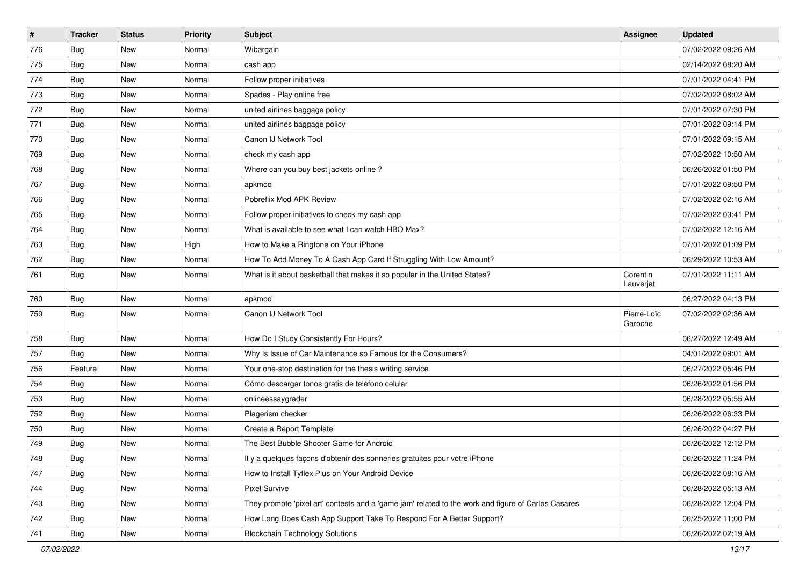| $\pmb{\#}$ | <b>Tracker</b> | <b>Status</b> | <b>Priority</b> | <b>Subject</b>                                                                                      | <b>Assignee</b>        | <b>Updated</b>      |
|------------|----------------|---------------|-----------------|-----------------------------------------------------------------------------------------------------|------------------------|---------------------|
| 776        | Bug            | New           | Normal          | Wibargain                                                                                           |                        | 07/02/2022 09:26 AM |
| 775        | Bug            | <b>New</b>    | Normal          | cash app                                                                                            |                        | 02/14/2022 08:20 AM |
| 774        | Bug            | New           | Normal          | Follow proper initiatives                                                                           |                        | 07/01/2022 04:41 PM |
| 773        | Bug            | <b>New</b>    | Normal          | Spades - Play online free                                                                           |                        | 07/02/2022 08:02 AM |
| 772        | Bug            | <b>New</b>    | Normal          | united airlines baggage policy                                                                      |                        | 07/01/2022 07:30 PM |
| 771        | Bug            | <b>New</b>    | Normal          | united airlines baggage policy                                                                      |                        | 07/01/2022 09:14 PM |
| 770        | Bug            | <b>New</b>    | Normal          | Canon IJ Network Tool                                                                               |                        | 07/01/2022 09:15 AM |
| 769        | Bug            | New           | Normal          | check my cash app                                                                                   |                        | 07/02/2022 10:50 AM |
| 768        | Bug            | New           | Normal          | Where can you buy best jackets online?                                                              |                        | 06/26/2022 01:50 PM |
| 767        | Bug            | <b>New</b>    | Normal          | apkmod                                                                                              |                        | 07/01/2022 09:50 PM |
| 766        | Bug            | New           | Normal          | Pobreflix Mod APK Review                                                                            |                        | 07/02/2022 02:16 AM |
| 765        | Bug            | <b>New</b>    | Normal          | Follow proper initiatives to check my cash app                                                      |                        | 07/02/2022 03:41 PM |
| 764        | Bug            | New           | Normal          | What is available to see what I can watch HBO Max?                                                  |                        | 07/02/2022 12:16 AM |
| 763        | Bug            | New           | High            | How to Make a Ringtone on Your iPhone                                                               |                        | 07/01/2022 01:09 PM |
| 762        | Bug            | <b>New</b>    | Normal          | How To Add Money To A Cash App Card If Struggling With Low Amount?                                  |                        | 06/29/2022 10:53 AM |
| 761        | Bug            | New           | Normal          | What is it about basketball that makes it so popular in the United States?                          | Corentin<br>Lauverjat  | 07/01/2022 11:11 AM |
| 760        | Bug            | <b>New</b>    | Normal          | apkmod                                                                                              |                        | 06/27/2022 04:13 PM |
| 759        | <b>Bug</b>     | New           | Normal          | Canon IJ Network Tool                                                                               | Pierre-Loïc<br>Garoche | 07/02/2022 02:36 AM |
| 758        | <b>Bug</b>     | <b>New</b>    | Normal          | How Do I Study Consistently For Hours?                                                              |                        | 06/27/2022 12:49 AM |
| 757        | Bug            | <b>New</b>    | Normal          | Why Is Issue of Car Maintenance so Famous for the Consumers?                                        |                        | 04/01/2022 09:01 AM |
| 756        | Feature        | <b>New</b>    | Normal          | Your one-stop destination for the thesis writing service                                            |                        | 06/27/2022 05:46 PM |
| 754        | Bug            | New           | Normal          | Cómo descargar tonos gratis de teléfono celular                                                     |                        | 06/26/2022 01:56 PM |
| 753        | Bug            | <b>New</b>    | Normal          | onlineessaygrader                                                                                   |                        | 06/28/2022 05:55 AM |
| 752        | Bug            | <b>New</b>    | Normal          | Plagerism checker                                                                                   |                        | 06/26/2022 06:33 PM |
| 750        | Bug            | <b>New</b>    | Normal          | Create a Report Template                                                                            |                        | 06/26/2022 04:27 PM |
| 749        | Bug            | New           | Normal          | The Best Bubble Shooter Game for Android                                                            |                        | 06/26/2022 12:12 PM |
| 748        | <b>Bug</b>     | New           | Normal          | Il y a quelques façons d'obtenir des sonneries gratuites pour votre iPhone                          |                        | 06/26/2022 11:24 PM |
| 747        | <b>Bug</b>     | New           | Normal          | How to Install Tyflex Plus on Your Android Device                                                   |                        | 06/26/2022 08:16 AM |
| 744        | Bug            | New           | Normal          | Pixel Survive                                                                                       |                        | 06/28/2022 05:13 AM |
| 743        | Bug            | New           | Normal          | They promote 'pixel art' contests and a 'game jam' related to the work and figure of Carlos Casares |                        | 06/28/2022 12:04 PM |
| 742        | Bug            | New           | Normal          | How Long Does Cash App Support Take To Respond For A Better Support?                                |                        | 06/25/2022 11:00 PM |
| 741        | <b>Bug</b>     | New           | Normal          | <b>Blockchain Technology Solutions</b>                                                              |                        | 06/26/2022 02:19 AM |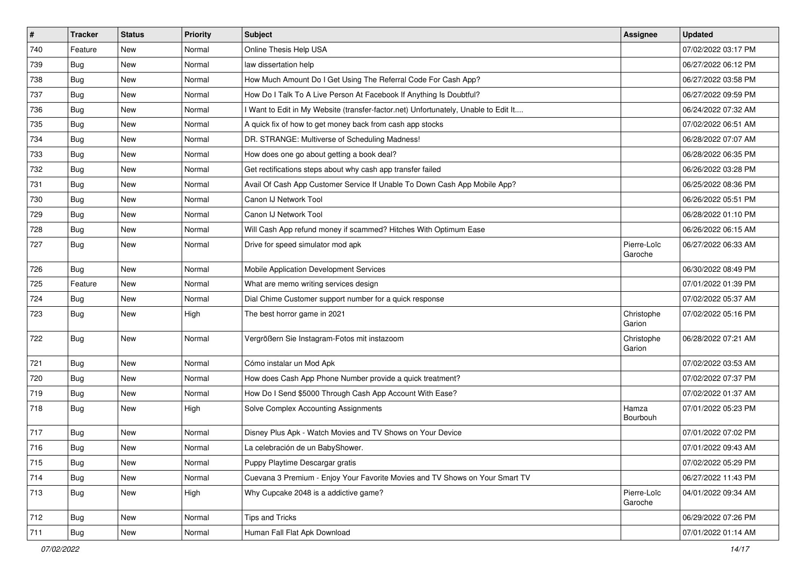| $\vert$ # | <b>Tracker</b> | <b>Status</b> | <b>Priority</b> | <b>Subject</b>                                                                      | Assignee               | <b>Updated</b>      |
|-----------|----------------|---------------|-----------------|-------------------------------------------------------------------------------------|------------------------|---------------------|
| 740       | Feature        | New           | Normal          | Online Thesis Help USA                                                              |                        | 07/02/2022 03:17 PM |
| 739       | Bug            | <b>New</b>    | Normal          | law dissertation help                                                               |                        | 06/27/2022 06:12 PM |
| 738       | Bug            | <b>New</b>    | Normal          | How Much Amount Do I Get Using The Referral Code For Cash App?                      |                        | 06/27/2022 03:58 PM |
| 737       | <b>Bug</b>     | <b>New</b>    | Normal          | How Do I Talk To A Live Person At Facebook If Anything Is Doubtful?                 |                        | 06/27/2022 09:59 PM |
| 736       | Bug            | <b>New</b>    | Normal          | I Want to Edit in My Website (transfer-factor.net) Unfortunately, Unable to Edit It |                        | 06/24/2022 07:32 AM |
| 735       | Bug            | New           | Normal          | A quick fix of how to get money back from cash app stocks                           |                        | 07/02/2022 06:51 AM |
| 734       | Bug            | <b>New</b>    | Normal          | DR. STRANGE: Multiverse of Scheduling Madness!                                      |                        | 06/28/2022 07:07 AM |
| 733       | Bug            | <b>New</b>    | Normal          | How does one go about getting a book deal?                                          |                        | 06/28/2022 06:35 PM |
| 732       | Bug            | <b>New</b>    | Normal          | Get rectifications steps about why cash app transfer failed                         |                        | 06/26/2022 03:28 PM |
| 731       | Bug            | <b>New</b>    | Normal          | Avail Of Cash App Customer Service If Unable To Down Cash App Mobile App?           |                        | 06/25/2022 08:36 PM |
| 730       | Bug            | New           | Normal          | Canon IJ Network Tool                                                               |                        | 06/26/2022 05:51 PM |
| 729       | <b>Bug</b>     | New           | Normal          | Canon IJ Network Tool                                                               |                        | 06/28/2022 01:10 PM |
| 728       | Bug            | <b>New</b>    | Normal          | Will Cash App refund money if scammed? Hitches With Optimum Ease                    |                        | 06/26/2022 06:15 AM |
| 727       | <b>Bug</b>     | <b>New</b>    | Normal          | Drive for speed simulator mod apk                                                   | Pierre-Loïc<br>Garoche | 06/27/2022 06:33 AM |
| 726       | Bug            | <b>New</b>    | Normal          | Mobile Application Development Services                                             |                        | 06/30/2022 08:49 PM |
| 725       | Feature        | <b>New</b>    | Normal          | What are memo writing services design                                               |                        | 07/01/2022 01:39 PM |
| 724       | Bug            | <b>New</b>    | Normal          | Dial Chime Customer support number for a quick response                             |                        | 07/02/2022 05:37 AM |
| 723       | <b>Bug</b>     | New           | High            | The best horror game in 2021                                                        | Christophe<br>Garion   | 07/02/2022 05:16 PM |
| 722       | Bug            | New           | Normal          | Vergrößern Sie Instagram-Fotos mit instazoom                                        | Christophe<br>Garion   | 06/28/2022 07:21 AM |
| 721       | Bug            | <b>New</b>    | Normal          | Cómo instalar un Mod Apk                                                            |                        | 07/02/2022 03:53 AM |
| 720       | Bug            | <b>New</b>    | Normal          | How does Cash App Phone Number provide a quick treatment?                           |                        | 07/02/2022 07:37 PM |
| 719       | <b>Bug</b>     | <b>New</b>    | Normal          | How Do I Send \$5000 Through Cash App Account With Ease?                            |                        | 07/02/2022 01:37 AM |
| 718       | Bug            | <b>New</b>    | High            | Solve Complex Accounting Assignments                                                | Hamza<br>Bourbouh      | 07/01/2022 05:23 PM |
| 717       | <b>Bug</b>     | <b>New</b>    | Normal          | Disney Plus Apk - Watch Movies and TV Shows on Your Device                          |                        | 07/01/2022 07:02 PM |
| 716       | Bug            | <b>New</b>    | Normal          | La celebración de un BabyShower.                                                    |                        | 07/01/2022 09:43 AM |
| 715       | <b>Bug</b>     | New           | Normal          | Puppy Playtime Descargar gratis                                                     |                        | 07/02/2022 05:29 PM |
| 714       | Bug            | <b>New</b>    | Normal          | Cuevana 3 Premium - Enjoy Your Favorite Movies and TV Shows on Your Smart TV        |                        | 06/27/2022 11:43 PM |
| 713       | <b>Bug</b>     | New           | High            | Why Cupcake 2048 is a addictive game?                                               | Pierre-Loïc<br>Garoche | 04/01/2022 09:34 AM |
| 712       | Bug            | New           | Normal          | Tips and Tricks                                                                     |                        | 06/29/2022 07:26 PM |
| 711       | <b>Bug</b>     | New           | Normal          | Human Fall Flat Apk Download                                                        |                        | 07/01/2022 01:14 AM |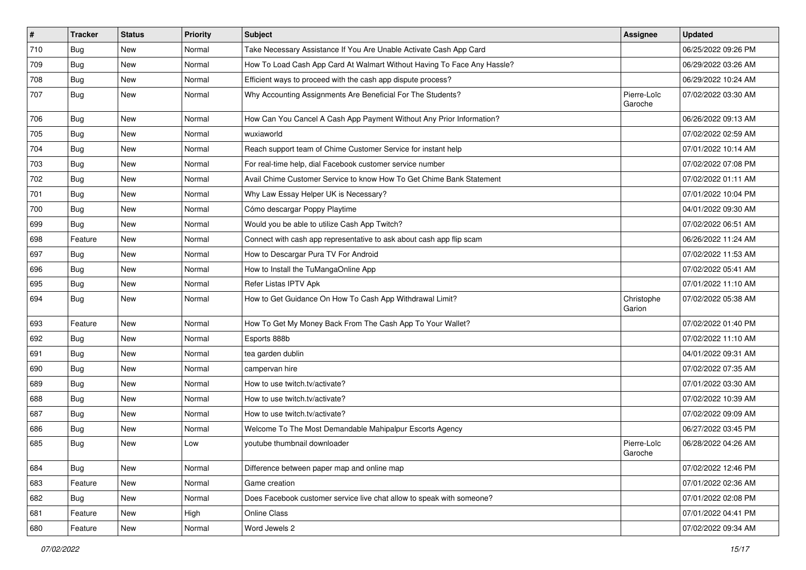| $\vert$ # | <b>Tracker</b> | <b>Status</b> | Priority | Subject                                                                 | Assignee               | <b>Updated</b>      |
|-----------|----------------|---------------|----------|-------------------------------------------------------------------------|------------------------|---------------------|
| 710       | <b>Bug</b>     | New           | Normal   | Take Necessary Assistance If You Are Unable Activate Cash App Card      |                        | 06/25/2022 09:26 PM |
| 709       | Bug            | New           | Normal   | How To Load Cash App Card At Walmart Without Having To Face Any Hassle? |                        | 06/29/2022 03:26 AM |
| 708       | Bug            | New           | Normal   | Efficient ways to proceed with the cash app dispute process?            |                        | 06/29/2022 10:24 AM |
| 707       | <b>Bug</b>     | New           | Normal   | Why Accounting Assignments Are Beneficial For The Students?             | Pierre-Loïc<br>Garoche | 07/02/2022 03:30 AM |
| 706       | <b>Bug</b>     | <b>New</b>    | Normal   | How Can You Cancel A Cash App Payment Without Any Prior Information?    |                        | 06/26/2022 09:13 AM |
| 705       | Bug            | New           | Normal   | wuxiaworld                                                              |                        | 07/02/2022 02:59 AM |
| 704       | Bug            | <b>New</b>    | Normal   | Reach support team of Chime Customer Service for instant help           |                        | 07/01/2022 10:14 AM |
| 703       | Bug            | New           | Normal   | For real-time help, dial Facebook customer service number               |                        | 07/02/2022 07:08 PM |
| 702       | <b>Bug</b>     | <b>New</b>    | Normal   | Avail Chime Customer Service to know How To Get Chime Bank Statement    |                        | 07/02/2022 01:11 AM |
| 701       | Bug            | New           | Normal   | Why Law Essay Helper UK is Necessary?                                   |                        | 07/01/2022 10:04 PM |
| 700       | Bug            | <b>New</b>    | Normal   | Cómo descargar Poppy Playtime                                           |                        | 04/01/2022 09:30 AM |
| 699       | Bug            | New           | Normal   | Would you be able to utilize Cash App Twitch?                           |                        | 07/02/2022 06:51 AM |
| 698       | Feature        | New           | Normal   | Connect with cash app representative to ask about cash app flip scam    |                        | 06/26/2022 11:24 AM |
| 697       | Bug            | <b>New</b>    | Normal   | How to Descargar Pura TV For Android                                    |                        | 07/02/2022 11:53 AM |
| 696       | <b>Bug</b>     | New           | Normal   | How to Install the TuMangaOnline App                                    |                        | 07/02/2022 05:41 AM |
| 695       | Bug            | <b>New</b>    | Normal   | Refer Listas IPTV Apk                                                   |                        | 07/01/2022 11:10 AM |
| 694       | <b>Bug</b>     | <b>New</b>    | Normal   | How to Get Guidance On How To Cash App Withdrawal Limit?                | Christophe<br>Garion   | 07/02/2022 05:38 AM |
| 693       | Feature        | New           | Normal   | How To Get My Money Back From The Cash App To Your Wallet?              |                        | 07/02/2022 01:40 PM |
| 692       | Bug            | New           | Normal   | Esports 888b                                                            |                        | 07/02/2022 11:10 AM |
| 691       | Bug            | New           | Normal   | tea garden dublin                                                       |                        | 04/01/2022 09:31 AM |
| 690       | Bug            | <b>New</b>    | Normal   | campervan hire                                                          |                        | 07/02/2022 07:35 AM |
| 689       | <b>Bug</b>     | New           | Normal   | How to use twitch.tv/activate?                                          |                        | 07/01/2022 03:30 AM |
| 688       | <b>Bug</b>     | <b>New</b>    | Normal   | How to use twitch.tv/activate?                                          |                        | 07/02/2022 10:39 AM |
| 687       | Bug            | <b>New</b>    | Normal   | How to use twitch.tv/activate?                                          |                        | 07/02/2022 09:09 AM |
| 686       | <b>Bug</b>     | New           | Normal   | Welcome To The Most Demandable Mahipalpur Escorts Agency                |                        | 06/27/2022 03:45 PM |
| 685       | Bug            | <b>New</b>    | Low      | youtube thumbnail downloader                                            | Pierre-Loïc<br>Garoche | 06/28/2022 04:26 AM |
| 684       | Bug            | New           | Normal   | Difference between paper map and online map                             |                        | 07/02/2022 12:46 PM |
| 683       | Feature        | New           | Normal   | Game creation                                                           |                        | 07/01/2022 02:36 AM |
| 682       | Bug            | New           | Normal   | Does Facebook customer service live chat allow to speak with someone?   |                        | 07/01/2022 02:08 PM |
| 681       | Feature        | New           | High     | Online Class                                                            |                        | 07/01/2022 04:41 PM |
| 680       | Feature        | New           | Normal   | Word Jewels 2                                                           |                        | 07/02/2022 09:34 AM |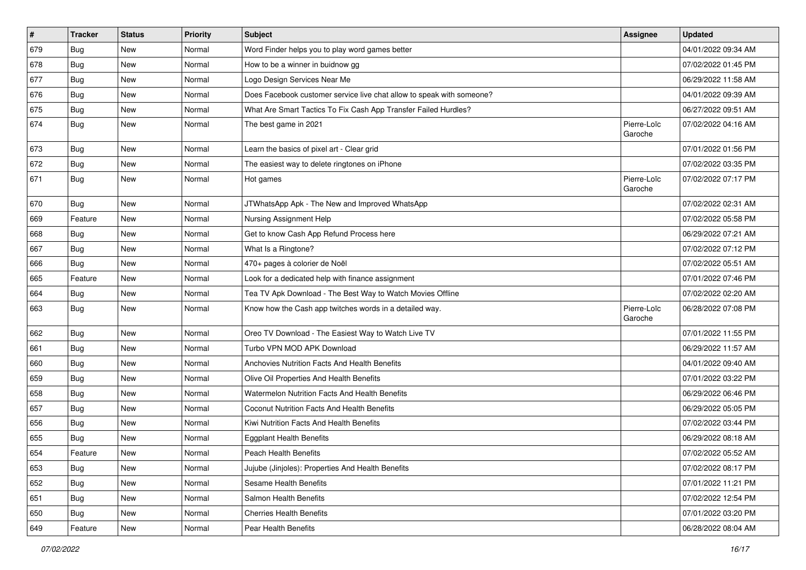| $\vert$ # | <b>Tracker</b> | <b>Status</b> | Priority | Subject                                                               | <b>Assignee</b>        | <b>Updated</b>      |
|-----------|----------------|---------------|----------|-----------------------------------------------------------------------|------------------------|---------------------|
| 679       | <b>Bug</b>     | New           | Normal   | Word Finder helps you to play word games better                       |                        | 04/01/2022 09:34 AM |
| 678       | Bug            | <b>New</b>    | Normal   | How to be a winner in buidnow gg                                      |                        | 07/02/2022 01:45 PM |
| 677       | Bug            | New           | Normal   | Logo Design Services Near Me                                          |                        | 06/29/2022 11:58 AM |
| 676       | <b>Bug</b>     | <b>New</b>    | Normal   | Does Facebook customer service live chat allow to speak with someone? |                        | 04/01/2022 09:39 AM |
| 675       | Bug            | <b>New</b>    | Normal   | What Are Smart Tactics To Fix Cash App Transfer Failed Hurdles?       |                        | 06/27/2022 09:51 AM |
| 674       | Bug            | New           | Normal   | The best game in 2021                                                 | Pierre-Loïc<br>Garoche | 07/02/2022 04:16 AM |
| 673       | Bug            | New           | Normal   | Learn the basics of pixel art - Clear grid                            |                        | 07/01/2022 01:56 PM |
| 672       | Bug            | <b>New</b>    | Normal   | The easiest way to delete ringtones on iPhone                         |                        | 07/02/2022 03:35 PM |
| 671       | Bug            | <b>New</b>    | Normal   | Hot games                                                             | Pierre-Loïc<br>Garoche | 07/02/2022 07:17 PM |
| 670       | Bug            | <b>New</b>    | Normal   | JTWhatsApp Apk - The New and Improved WhatsApp                        |                        | 07/02/2022 02:31 AM |
| 669       | Feature        | <b>New</b>    | Normal   | Nursing Assignment Help                                               |                        | 07/02/2022 05:58 PM |
| 668       | Bug            | New           | Normal   | Get to know Cash App Refund Process here                              |                        | 06/29/2022 07:21 AM |
| 667       | Bug            | <b>New</b>    | Normal   | What Is a Ringtone?                                                   |                        | 07/02/2022 07:12 PM |
| 666       | Bug            | New           | Normal   | 470+ pages à colorier de Noël                                         |                        | 07/02/2022 05:51 AM |
| 665       | Feature        | <b>New</b>    | Normal   | Look for a dedicated help with finance assignment                     |                        | 07/01/2022 07:46 PM |
| 664       | Bug            | <b>New</b>    | Normal   | Tea TV Apk Download - The Best Way to Watch Movies Offline            |                        | 07/02/2022 02:20 AM |
| 663       | Bug            | <b>New</b>    | Normal   | Know how the Cash app twitches words in a detailed way.               | Pierre-Loïc<br>Garoche | 06/28/2022 07:08 PM |
| 662       | Bug            | <b>New</b>    | Normal   | Oreo TV Download - The Easiest Way to Watch Live TV                   |                        | 07/01/2022 11:55 PM |
| 661       | Bug            | <b>New</b>    | Normal   | Turbo VPN MOD APK Download                                            |                        | 06/29/2022 11:57 AM |
| 660       | Bug            | <b>New</b>    | Normal   | Anchovies Nutrition Facts And Health Benefits                         |                        | 04/01/2022 09:40 AM |
| 659       | <b>Bug</b>     | New           | Normal   | Olive Oil Properties And Health Benefits                              |                        | 07/01/2022 03:22 PM |
| 658       | Bug            | <b>New</b>    | Normal   | Watermelon Nutrition Facts And Health Benefits                        |                        | 06/29/2022 06:46 PM |
| 657       | Bug            | <b>New</b>    | Normal   | <b>Coconut Nutrition Facts And Health Benefits</b>                    |                        | 06/29/2022 05:05 PM |
| 656       | Bug            | New           | Normal   | Kiwi Nutrition Facts And Health Benefits                              |                        | 07/02/2022 03:44 PM |
| 655       | Bug            | <b>New</b>    | Normal   | <b>Eggplant Health Benefits</b>                                       |                        | 06/29/2022 08:18 AM |
| 654       | Feature        | New           | Normal   | Peach Health Benefits                                                 |                        | 07/02/2022 05:52 AM |
| 653       | Bug            | New           | Normal   | Jujube (Jinjoles): Properties And Health Benefits                     |                        | 07/02/2022 08:17 PM |
| 652       | Bug            | New           | Normal   | Sesame Health Benefits                                                |                        | 07/01/2022 11:21 PM |
| 651       | Bug            | New           | Normal   | Salmon Health Benefits                                                |                        | 07/02/2022 12:54 PM |
| 650       | Bug            | New           | Normal   | <b>Cherries Health Benefits</b>                                       |                        | 07/01/2022 03:20 PM |
| 649       | Feature        | New           | Normal   | Pear Health Benefits                                                  |                        | 06/28/2022 08:04 AM |